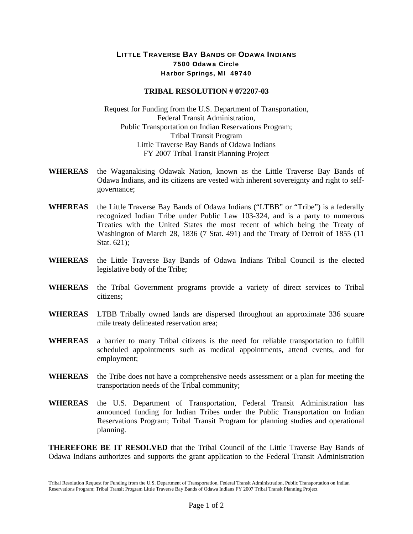## LITTLE TRAVERSE BAY BANDS OF ODAWA INDIANS 7500 Odawa Circle Harbor Springs, MI 49740

## **TRIBAL RESOLUTION # 072207-03**

Request for Funding from the U.S. Department of Transportation, Federal Transit Administration, Public Transportation on Indian Reservations Program; Tribal Transit Program Little Traverse Bay Bands of Odawa Indians FY 2007 Tribal Transit Planning Project

- **WHEREAS** the Waganakising Odawak Nation, known as the Little Traverse Bay Bands of Odawa Indians, and its citizens are vested with inherent sovereignty and right to selfgovernance;
- **WHEREAS** the Little Traverse Bay Bands of Odawa Indians ("LTBB" or "Tribe") is a federally recognized Indian Tribe under Public Law 103-324, and is a party to numerous Treaties with the United States the most recent of which being the Treaty of Washington of March 28, 1836 (7 Stat. 491) and the Treaty of Detroit of 1855 (11 Stat. 621);
- **WHEREAS** the Little Traverse Bay Bands of Odawa Indians Tribal Council is the elected legislative body of the Tribe;
- **WHEREAS** the Tribal Government programs provide a variety of direct services to Tribal citizens;
- **WHEREAS** LTBB Tribally owned lands are dispersed throughout an approximate 336 square mile treaty delineated reservation area;
- **WHEREAS** a barrier to many Tribal citizens is the need for reliable transportation to fulfill scheduled appointments such as medical appointments, attend events, and for employment;
- **WHEREAS** the Tribe does not have a comprehensive needs assessment or a plan for meeting the transportation needs of the Tribal community;
- **WHEREAS** the U.S. Department of Transportation, Federal Transit Administration has announced funding for Indian Tribes under the Public Transportation on Indian Reservations Program; Tribal Transit Program for planning studies and operational planning.

**THEREFORE BE IT RESOLVED** that the Tribal Council of the Little Traverse Bay Bands of Odawa Indians authorizes and supports the grant application to the Federal Transit Administration

Tribal Resolution Request for Funding from the U.S. Department of Transportation, Federal Transit Administration, Public Transportation on Indian Reservations Program; Tribal Transit Program Little Traverse Bay Bands of Odawa Indians FY 2007 Tribal Transit Planning Project